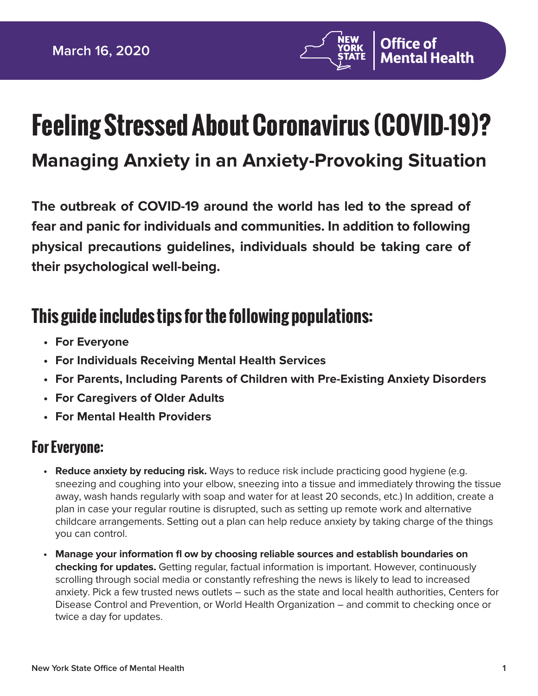

# **Feeling Stressed About Coronavirus (COVID-19)?**

# **Managing Anxiety in an Anxiety-Provoking Situation**

**The outbreak of COVID-19 around the world has led to the spread of fear and panic for individuals and communities. In addition to following physical precautions guidelines, individuals should be taking care of their psychological well-being.**

# **This guide includes tips for the following populations:**

- **For Everyone**
- **For Individuals Receiving Mental Health Services**
- **For Parents, Including Parents of Children with Pre-Existing Anxiety Disorders**
- **For Caregivers of Older Adults**
- **For Mental Health Providers**

#### **For Everyone:**

- **Reduce anxiety by reducing risk.** Ways to reduce risk include practicing good hygiene (e.g. sneezing and coughing into your elbow, sneezing into a tissue and immediately throwing the tissue away, wash hands regularly with soap and water for at least 20 seconds, etc.) In addition, create a plan in case your regular routine is disrupted, such as setting up remote work and alternative childcare arrangements. Setting out a plan can help reduce anxiety by taking charge of the things you can control.
- **Manage your information fl ow by choosing reliable sources and establish boundaries on checking for updates.** Getting regular, factual information is important. However, continuously scrolling through social media or constantly refreshing the news is likely to lead to increased anxiety. Pick a few trusted news outlets – such as the state and local health authorities, Centers for Disease Control and Prevention, or World Health Organization – and commit to checking once or twice a day for updates.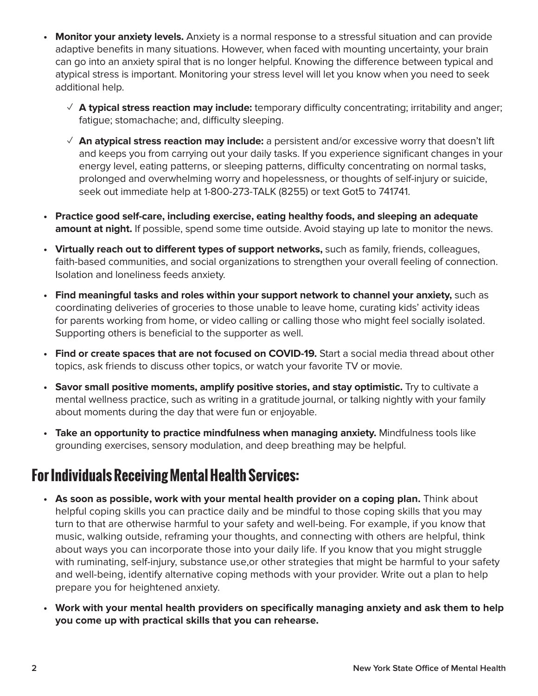- **Monitor your anxiety levels.** Anxiety is a normal response to a stressful situation and can provide adaptive benefits in many situations. However, when faced with mounting uncertainty, your brain can go into an anxiety spiral that is no longer helpful. Knowing the difference between typical and atypical stress is important. Monitoring your stress level will let you know when you need to seek additional help.
	- $\checkmark$  **A typical stress reaction may include:** temporary difficulty concentrating; irritability and anger; fatigue; stomachache; and, difficulty sleeping.
	- ✓ **An atypical stress reaction may include:** a persistent and/or excessive worry that doesn't lift and keeps you from carrying out your daily tasks. If you experience significant changes in your energy level, eating patterns, or sleeping patterns, difficulty concentrating on normal tasks, prolonged and overwhelming worry and hopelessness, or thoughts of self-injury or suicide, seek out immediate help at 1-800-273-TALK (8255) or text Got5 to 741741.
- **Practice good self-care, including exercise, eating healthy foods, and sleeping an adequate amount at night.** If possible, spend some time outside. Avoid staying up late to monitor the news.
- Virtually reach out to different types of support networks, such as family, friends, colleagues, faith-based communities, and social organizations to strengthen your overall feeling of connection. Isolation and loneliness feeds anxiety.
- **Find meaningful tasks and roles within your support network to channel your anxiety,** such as coordinating deliveries of groceries to those unable to leave home, curating kids' activity ideas for parents working from home, or video calling or calling those who might feel socially isolated. Supporting others is beneficial to the supporter as well.
- **Find or create spaces that are not focused on COVID-19.** Start a social media thread about other topics, ask friends to discuss other topics, or watch your favorite TV or movie.
- **Savor small positive moments, amplify positive stories, and stay optimistic.** Try to cultivate a mental wellness practice, such as writing in a gratitude journal, or talking nightly with your family about moments during the day that were fun or enjoyable.
- **Take an opportunity to practice mindfulness when managing anxiety.** Mindfulness tools like grounding exercises, sensory modulation, and deep breathing may be helpful.

## **For Individuals Receiving Mental Health Services:**

- **As soon as possible, work with your mental health provider on a coping plan.** Think about helpful coping skills you can practice daily and be mindful to those coping skills that you may turn to that are otherwise harmful to your safety and well-being. For example, if you know that music, walking outside, reframing your thoughts, and connecting with others are helpful, think about ways you can incorporate those into your daily life. If you know that you might struggle with ruminating, self-injury, substance use,or other strategies that might be harmful to your safety and well-being, identify alternative coping methods with your provider. Write out a plan to help prepare you for heightened anxiety.
- Work with your mental health providers on specifically managing anxiety and ask them to help **you come up with practical skills that you can rehearse.**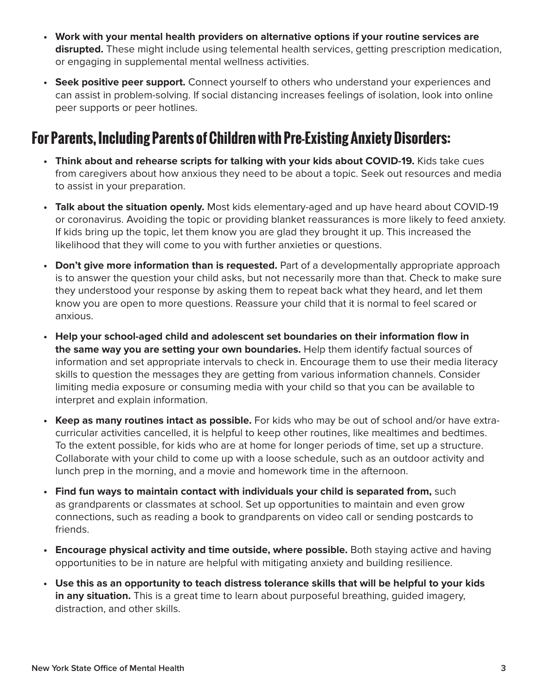- **Work with your mental health providers on alternative options if your routine services are disrupted.** These might include using telemental health services, getting prescription medication, or engaging in supplemental mental wellness activities.
- **Seek positive peer support.** Connect yourself to others who understand your experiences and can assist in problem-solving. If social distancing increases feelings of isolation, look into online peer supports or peer hotlines.

### **For Parents, Including Parents of Children with Pre-Existing Anxiety Disorders:**

- **Think about and rehearse scripts for talking with your kids about COVID-19.** Kids take cues from caregivers about how anxious they need to be about a topic. Seek out resources and media to assist in your preparation.
- **Talk about the situation openly.** Most kids elementary-aged and up have heard about COVID-19 or coronavirus. Avoiding the topic or providing blanket reassurances is more likely to feed anxiety. If kids bring up the topic, let them know you are glad they brought it up. This increased the likelihood that they will come to you with further anxieties or questions.
- **Don't give more information than is requested.** Part of a developmentally appropriate approach is to answer the question your child asks, but not necessarily more than that. Check to make sure they understood your response by asking them to repeat back what they heard, and let them know you are open to more questions. Reassure your child that it is normal to feel scared or anxious.
- Help your school-aged child and adolescent set boundaries on their information flow in **the same way you are setting your own boundaries.** Help them identify factual sources of information and set appropriate intervals to check in. Encourage them to use their media literacy skills to question the messages they are getting from various information channels. Consider limiting media exposure or consuming media with your child so that you can be available to interpret and explain information.
- **Keep as many routines intact as possible.** For kids who may be out of school and/or have extracurricular activities cancelled, it is helpful to keep other routines, like mealtimes and bedtimes. To the extent possible, for kids who are at home for longer periods of time, set up a structure. Collaborate with your child to come up with a loose schedule, such as an outdoor activity and lunch prep in the morning, and a movie and homework time in the afternoon.
- **Find fun ways to maintain contact with individuals your child is separated from,** such as grandparents or classmates at school. Set up opportunities to maintain and even grow connections, such as reading a book to grandparents on video call or sending postcards to friends.
- **Encourage physical activity and time outside, where possible.** Both staying active and having opportunities to be in nature are helpful with mitigating anxiety and building resilience.
- **Use this as an opportunity to teach distress tolerance skills that will be helpful to your kids in any situation.** This is a great time to learn about purposeful breathing, quided imagery, distraction, and other skills.